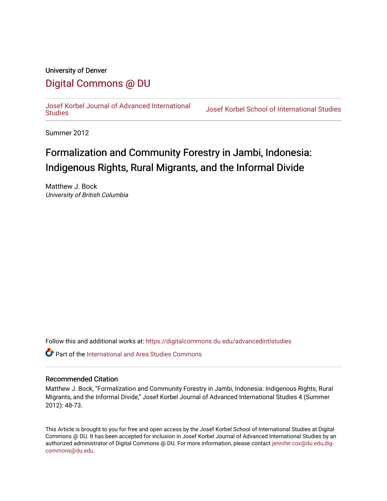## University of Denver [Digital Commons @ DU](https://digitalcommons.du.edu/)

[Josef Korbel Journal of Advanced International](https://digitalcommons.du.edu/advancedintlstudies) 

**Josef Korbel School of International Studies** 

Summer 2012

# Formalization and Community Forestry in Jambi, Indonesia: Indigenous Rights, Rural Migrants, and the Informal Divide

Matthew J. Bock University of British Columbia

Follow this and additional works at: [https://digitalcommons.du.edu/advancedintlstudies](https://digitalcommons.du.edu/advancedintlstudies?utm_source=digitalcommons.du.edu%2Fadvancedintlstudies%2F7&utm_medium=PDF&utm_campaign=PDFCoverPages)

**C** Part of the International and Area Studies Commons

#### Recommended Citation

Matthew J. Bock, "Formalization and Community Forestry in Jambi, Indonesia: Indigenous Rights, Rural Migrants, and the Informal Divide," Josef Korbel Journal of Advanced International Studies 4 (Summer 2012): 48-73.

This Article is brought to you for free and open access by the Josef Korbel School of International Studies at Digital Commons @ DU. It has been accepted for inclusion in Josef Korbel Journal of Advanced International Studies by an authorized administrator of Digital Commons @ DU. For more information, please contact [jennifer.cox@du.edu,dig](mailto:jennifer.cox@du.edu,dig-commons@du.edu)[commons@du.edu.](mailto:jennifer.cox@du.edu,dig-commons@du.edu)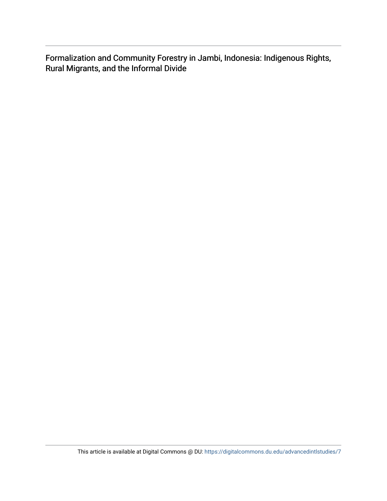Formalization and Community Forestry in Jambi, Indonesia: Indigenous Rights, Rural Migrants, and the Informal Divide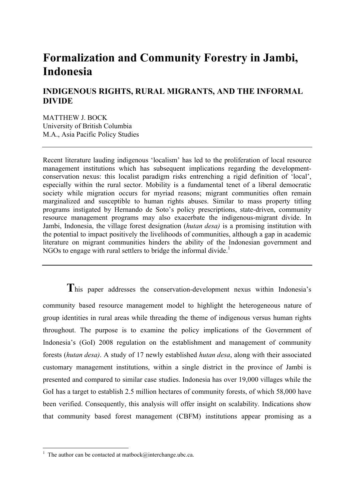# **Formalization and Community Forestry in Jambi, Indonesia**

## **INDIGENOUS RIGHTS, RURAL MIGRANTS, AND THE INFORMAL DIVIDE**

MATTHEW J. BOCK University of British Columbia M.A., Asia Pacific Policy Studies

Recent literature lauding indigenous 'localism' has led to the proliferation of local resource management institutions which has subsequent implications regarding the developmentconservation nexus: this localist paradigm risks entrenching a rigid definition of 'local', especially within the rural sector. Mobility is a fundamental tenet of a liberal democratic society while migration occurs for myriad reasons; migrant communities often remain marginalized and susceptible to human rights abuses. Similar to mass property titling programs instigated by Hernando de Soto's policy prescriptions, state-driven, community resource management programs may also exacerbate the indigenous-migrant divide. In Jambi, Indonesia, the village forest designation (*hutan desa)* is a promising institution with the potential to impact positively the livelihoods of communities, although a gap in academic literature on migrant communities hinders the ability of the Indonesian government and NGOs to engage with rural settlers to bridge the informal divide.<sup>1</sup>

**T**his paper addresses the conservation-development nexus within Indonesia's community based resource management model to highlight the heterogeneous nature of group identities in rural areas while threading the theme of indigenous versus human rights throughout. The purpose is to examine the policy implications of the Government of Indonesia's (GoI) 2008 regulation on the establishment and management of community forests (*hutan desa)*. A study of 17 newly established *hutan desa*, along with their associated customary management institutions, within a single district in the province of Jambi is presented and compared to similar case studies. Indonesia has over 19,000 villages while the GoI has a target to establish 2.5 million hectares of community forests, of which 58,000 have been verified. Consequently, this analysis will offer insight on scalability. Indications show that community based forest management (CBFM) institutions appear promising as a

<sup>&</sup>lt;sup>1</sup> The author can be contacted at matbock@interchange.ubc.ca.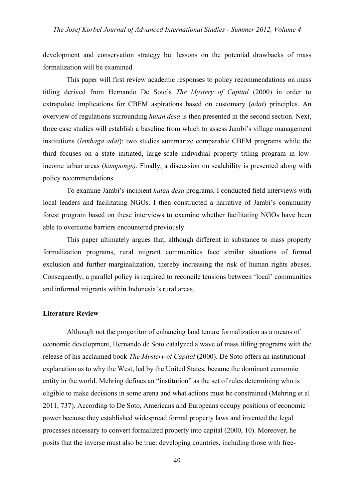development and conservation strategy but lessons on the potential drawbacks of mass formalization will be examined.

This paper will first review academic responses to policy recommendations on mass titling derived from Hernando De Soto's *The Mystery of Capital* (2000) in order to extrapolate implications for CBFM aspirations based on customary (*adat*) principles. An overview of regulations surrounding *hutan desa* is then presented in the second section. Next, three case studies will establish a baseline from which to assess Jambi's village management institutions (*lembaga adat*): two studies summarize comparable CBFM programs while the third focuses on a state initiated, large-scale individual property titling program in lowincome urban areas (*kampongs).* Finally, a discussion on scalability is presented along with policy recommendations.

To examine Jambi's incipient *hutan desa* programs, I conducted field interviews with local leaders and facilitating NGOs. I then constructed a narrative of Jambi's community forest program based on these interviews to examine whether facilitating NGOs have been able to overcome barriers encountered previously.

This paper ultimately argues that, although different in substance to mass property formalization programs, rural migrant communities face similar situations of formal exclusion and further marginalization, thereby increasing the risk of human rights abuses. Consequently, a parallel policy is required to reconcile tensions between 'local' communities and informal migrants within Indonesia's rural areas.

#### **Literature Review**

Although not the progenitor of enhancing land tenure formalization as a means of economic development, Hernando de Soto catalyzed a wave of mass titling programs with the release of his acclaimed book *The Mystery of Capital* (2000). De Soto offers an institutional explanation as to why the West, led by the United States, became the dominant economic entity in the world. Mehring defines an "institution" as the set of rules determining who is eligible to make decisions in some arena and what actions must be constrained (Mehring et al 2011, 737). According to De Soto, Americans and Europeans occupy positions of economic power because they established widespread formal property laws and invented the legal processes necessary to convert formalized property into capital (2000, 10). Moreover, he posits that the inverse must also be true: developing countries, including those with free-

49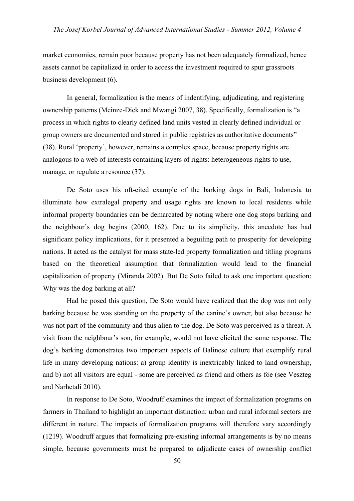market economies, remain poor because property has not been adequately formalized, hence assets cannot be capitalized in order to access the investment required to spur grassroots business development (6).

In general, formalization is the means of indentifying, adjudicating, and registering ownership patterns (Meinze-Dick and Mwangi 2007, 38). Specifically, formalization is "a process in which rights to clearly defined land units vested in clearly defined individual or group owners are documented and stored in public registries as authoritative documents" (38). Rural 'property', however, remains a complex space, because property rights are analogous to a web of interests containing layers of rights: heterogeneous rights to use, manage, or regulate a resource  $(37)$ .

De Soto uses his oft-cited example of the barking dogs in Bali, Indonesia to illuminate how extralegal property and usage rights are known to local residents while informal property boundaries can be demarcated by noting where one dog stops barking and the neighbour's dog begins (2000, 162). Due to its simplicity, this anecdote has had significant policy implications, for it presented a beguiling path to prosperity for developing nations. It acted as the catalyst for mass state-led property formalization and titling programs based on the theoretical assumption that formalization would lead to the financial capitalization of property (Miranda 2002). But De Soto failed to ask one important question: Why was the dog barking at all?

Had he posed this question, De Soto would have realized that the dog was not only barking because he was standing on the property of the canine's owner, but also because he was not part of the community and thus alien to the dog. De Soto was perceived as a threat. A visit from the neighbour's son, for example, would not have elicited the same response. The dog's barking demonstrates two important aspects of Balinese culture that exemplify rural life in many developing nations: a) group identity is inextricably linked to land ownership, and b) not all visitors are equal - some are perceived as friend and others as foe (see Veszteg and Narhetali 2010).

In response to De Soto, Woodruff examines the impact of formalization programs on farmers in Thailand to highlight an important distinction: urban and rural informal sectors are different in nature. The impacts of formalization programs will therefore vary accordingly (1219). Woodruff argues that formalizing pre-existing informal arrangements is by no means simple, because governments must be prepared to adjudicate cases of ownership conflict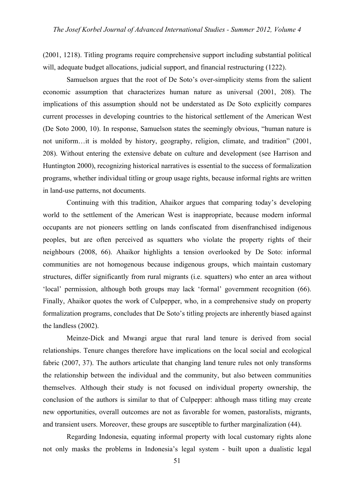(2001, 1218). Titling programs require comprehensive support including substantial political will, adequate budget allocations, judicial support, and financial restructuring (1222).

Samuelson argues that the root of De Soto's over-simplicity stems from the salient economic assumption that characterizes human nature as universal (2001, 208). The implications of this assumption should not be understated as De Soto explicitly compares current processes in developing countries to the historical settlement of the American West (De Soto 2000, 10). In response, Samuelson states the seemingly obvious, "human nature is not uniform…it is molded by history, geography, religion, climate, and tradition" (2001, 208). Without entering the extensive debate on culture and development (see Harrison and Huntington 2000), recognizing historical narratives is essential to the success of formalization programs, whether individual titling or group usage rights, because informal rights are written in land-use patterns, not documents.

Continuing with this tradition, Ahaikor argues that comparing today's developing world to the settlement of the American West is inappropriate, because modern informal occupants are not pioneers settling on lands confiscated from disenfranchised indigenous peoples, but are often perceived as squatters who violate the property rights of their neighbours (2008, 66). Ahaikor highlights a tension overlooked by De Soto: informal communities are not homogenous because indigenous groups, which maintain customary structures, differ significantly from rural migrants (i.e. squatters) who enter an area without 'local' permission, although both groups may lack 'formal' government recognition (66). Finally, Ahaikor quotes the work of Culpepper, who, in a comprehensive study on property formalization programs, concludes that De Soto's titling projects are inherently biased against the landless (2002).

Meinze-Dick and Mwangi argue that rural land tenure is derived from social relationships. Tenure changes therefore have implications on the local social and ecological fabric (2007, 37). The authors articulate that changing land tenure rules not only transforms the relationship between the individual and the community, but also between communities themselves. Although their study is not focused on individual property ownership, the conclusion of the authors is similar to that of Culpepper: although mass titling may create new opportunities, overall outcomes are not as favorable for women, pastoralists, migrants, and transient users. Moreover, these groups are susceptible to further marginalization (44).

Regarding Indonesia, equating informal property with local customary rights alone not only masks the problems in Indonesia's legal system - built upon a dualistic legal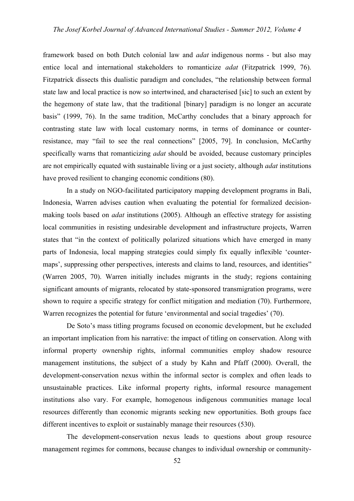framework based on both Dutch colonial law and *adat* indigenous norms - but also may entice local and international stakeholders to romanticize *adat* (Fitzpatrick 1999, 76). Fitzpatrick dissects this dualistic paradigm and concludes, "the relationship between formal state law and local practice is now so intertwined, and characterised [sic] to such an extent by the hegemony of state law, that the traditional [binary] paradigm is no longer an accurate basis" (1999, 76). In the same tradition, McCarthy concludes that a binary approach for contrasting state law with local customary norms, in terms of dominance or counterresistance, may "fail to see the real connections" [2005, 79]. In conclusion, McCarthy specifically warns that romanticizing *adat* should be avoided, because customary principles are not empirically equated with sustainable living or a just society, although *adat* institutions have proved resilient to changing economic conditions (80).

In a study on NGO-facilitated participatory mapping development programs in Bali, Indonesia, Warren advises caution when evaluating the potential for formalized decisionmaking tools based on *adat* institutions (2005). Although an effective strategy for assisting local communities in resisting undesirable development and infrastructure projects, Warren states that "in the context of politically polarized situations which have emerged in many parts of Indonesia, local mapping strategies could simply fix equally inflexible 'countermaps', suppressing other perspectives, interests and claims to land, resources, and identities" (Warren 2005, 70). Warren initially includes migrants in the study; regions containing significant amounts of migrants, relocated by state-sponsored transmigration programs, were shown to require a specific strategy for conflict mitigation and mediation (70). Furthermore, Warren recognizes the potential for future 'environmental and social tragedies' (70).

De Soto's mass titling programs focused on economic development, but he excluded an important implication from his narrative: the impact of titling on conservation. Along with informal property ownership rights, informal communities employ shadow resource management institutions, the subject of a study by Kahn and Pfaff (2000). Overall, the development-conservation nexus within the informal sector is complex and often leads to unsustainable practices. Like informal property rights, informal resource management institutions also vary. For example, homogenous indigenous communities manage local resources differently than economic migrants seeking new opportunities. Both groups face different incentives to exploit or sustainably manage their resources (530).

The development-conservation nexus leads to questions about group resource management regimes for commons, because changes to individual ownership or community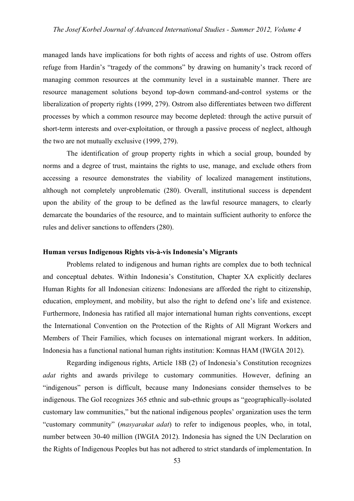managed lands have implications for both rights of access and rights of use. Ostrom offers refuge from Hardin's "tragedy of the commons" by drawing on humanity's track record of managing common resources at the community level in a sustainable manner. There are resource management solutions beyond top-down command-and-control systems or the liberalization of property rights (1999, 279). Ostrom also differentiates between two different processes by which a common resource may become depleted: through the active pursuit of short-term interests and over-exploitation, or through a passive process of neglect, although the two are not mutually exclusive (1999, 279).

The identification of group property rights in which a social group, bounded by norms and a degree of trust, maintains the rights to use, manage, and exclude others from accessing a resource demonstrates the viability of localized management institutions, although not completely unproblematic (280). Overall, institutional success is dependent upon the ability of the group to be defined as the lawful resource managers, to clearly demarcate the boundaries of the resource, and to maintain sufficient authority to enforce the rules and deliver sanctions to offenders (280).

#### **Human versus Indigenous Rights vis-à-vis Indonesia's Migrants**

Problems related to indigenous and human rights are complex due to both technical and conceptual debates. Within Indonesia's Constitution, Chapter XA explicitly declares Human Rights for all Indonesian citizens: Indonesians are afforded the right to citizenship, education, employment, and mobility, but also the right to defend one's life and existence. Furthermore, Indonesia has ratified all major international human rights conventions, except the International Convention on the Protection of the Rights of All Migrant Workers and Members of Their Families, which focuses on international migrant workers. In addition, Indonesia has a functional national human rights institution: Komnas HAM (IWGIA 2012).

Regarding indigenous rights, Article 18B (2) of Indonesia's Constitution recognizes *adat* rights and awards privilege to customary communities. However, defining an "indigenous" person is difficult, because many Indonesians consider themselves to be indigenous. The GoI recognizes 365 ethnic and sub-ethnic groups as "geographically-isolated customary law communities," but the national indigenous peoples' organization uses the term "customary community" (*masyarakat adat*) to refer to indigenous peoples, who, in total, number between 30-40 million (IWGIA 2012). Indonesia has signed the UN Declaration on the Rights of Indigenous Peoples but has not adhered to strict standards of implementation. In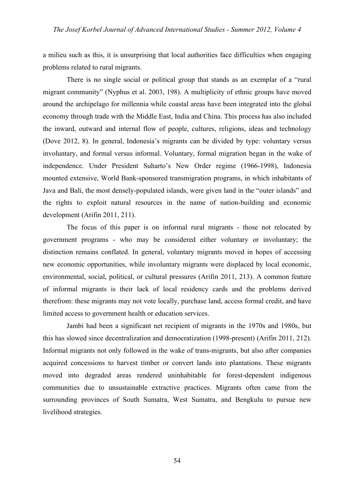a milieu such as this, it is unsurprising that local authorities face difficulties when engaging problems related to rural migrants.

There is no single social or political group that stands as an exemplar of a "rural migrant community" (Nyphus et al. 2003, 198). A multiplicity of ethnic groups have moved around the archipelago for millennia while coastal areas have been integrated into the global economy through trade with the Middle East, India and China. This process has also included the inward, outward and internal flow of people, cultures, religions, ideas and technology (Dove 2012, 8). In general, Indonesia's migrants can be divided by type: voluntary versus involuntary, and formal versus informal. Voluntary, formal migration began in the wake of independence. Under President Suharto's New Order regime (1966-1998), Indonesia mounted extensive, World Bank-sponsored transmigration programs, in which inhabitants of Java and Bali, the most densely-populated islands, were given land in the "outer islands" and the rights to exploit natural resources in the name of nation-building and economic development (Arifin 2011, 211).

The focus of this paper is on informal rural migrants - those not relocated by government programs - who may be considered either voluntary or involuntary; the distinction remains conflated. In general, voluntary migrants moved in hopes of accessing new economic opportunities, while involuntary migrants were displaced by local economic, environmental, social, political, or cultural pressures (Arifin 2011, 213). A common feature of informal migrants is their lack of local residency cards and the problems derived therefrom: these migrants may not vote locally, purchase land, access formal credit, and have limited access to government health or education services.

Jambi had been a significant net recipient of migrants in the 1970s and 1980s, but this has slowed since decentralization and democratization (1998-present) (Arifin 2011, 212). Informal migrants not only followed in the wake of trans-migrants, but also after companies acquired concessions to harvest timber or convert lands into plantations. These migrants moved into degraded areas rendered uninhabitable for forest-dependent indigenous communities due to unsustainable extractive practices. Migrants often came from the surrounding provinces of South Sumatra, West Sumatra, and Bengkulu to pursue new livelihood strategies.

54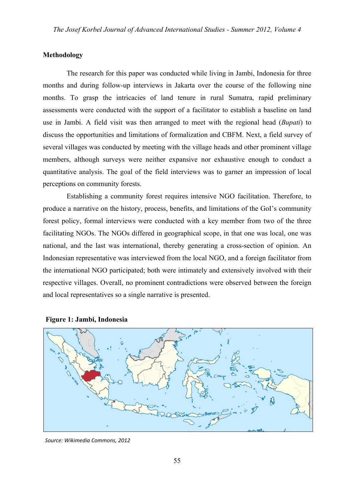#### **Methodology**

The research for this paper was conducted while living in Jambi, Indonesia for three months and during follow-up interviews in Jakarta over the course of the following nine months. To grasp the intricacies of land tenure in rural Sumatra, rapid preliminary assessments were conducted with the support of a facilitator to establish a baseline on land use in Jambi. A field visit was then arranged to meet with the regional head (*Bupati*) to discuss the opportunities and limitations of formalization and CBFM. Next, a field survey of several villages was conducted by meeting with the village heads and other prominent village members, although surveys were neither expansive nor exhaustive enough to conduct a quantitative analysis. The goal of the field interviews was to garner an impression of local perceptions on community forests.

Establishing a community forest requires intensive NGO facilitation. Therefore, to produce a narrative on the history, process, benefits, and limitations of the GoI's community forest policy, formal interviews were conducted with a key member from two of the three facilitating NGOs. The NGOs differed in geographical scope, in that one was local, one was national, and the last was international, thereby generating a cross-section of opinion. An Indonesian representative was interviewed from the local NGO, and a foreign facilitator from the international NGO participated; both were intimately and extensively involved with their respective villages. Overall, no prominent contradictions were observed between the foreign and local representatives so a single narrative is presented.



#### **Figure 1: Jambi, Indonesia**

*Source: Wikimedia Commons, 2012*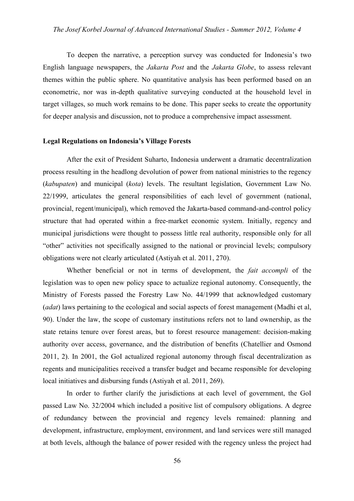To deepen the narrative, a perception survey was conducted for Indonesia's two English language newspapers, the *Jakarta Post* and the *Jakarta Globe*, to assess relevant themes within the public sphere. No quantitative analysis has been performed based on an econometric, nor was in-depth qualitative surveying conducted at the household level in target villages, so much work remains to be done. This paper seeks to create the opportunity for deeper analysis and discussion, not to produce a comprehensive impact assessment.

#### **Legal Regulations on Indonesia's Village Forests**

After the exit of President Suharto, Indonesia underwent a dramatic decentralization process resulting in the headlong devolution of power from national ministries to the regency (*kabupaten*) and municipal (*kota*) levels. The resultant legislation, Government Law No. 22/1999, articulates the general responsibilities of each level of government (national, provincial, regent/municipal), which removed the Jakarta-based command-and-control policy structure that had operated within a free-market economic system. Initially, regency and municipal jurisdictions were thought to possess little real authority, responsible only for all "other" activities not specifically assigned to the national or provincial levels; compulsory obligations were not clearly articulated (Astiyah et al. 2011, 270).

Whether beneficial or not in terms of development, the *fait accompli* of the legislation was to open new policy space to actualize regional autonomy. Consequently, the Ministry of Forests passed the Forestry Law No. 44/1999 that acknowledged customary (*adat*) laws pertaining to the ecological and social aspects of forest management (Madhi et al, 90). Under the law, the scope of customary institutions refers not to land ownership, as the state retains tenure over forest areas, but to forest resource management: decision-making authority over access, governance, and the distribution of benefits (Chatellier and Osmond 2011, 2). In 2001, the GoI actualized regional autonomy through fiscal decentralization as regents and municipalities received a transfer budget and became responsible for developing local initiatives and disbursing funds (Astiyah et al. 2011, 269).

In order to further clarify the jurisdictions at each level of government, the GoI passed Law No. 32/2004 which included a positive list of compulsory obligations. A degree of redundancy between the provincial and regency levels remained: planning and development, infrastructure, employment, environment, and land services were still managed at both levels, although the balance of power resided with the regency unless the project had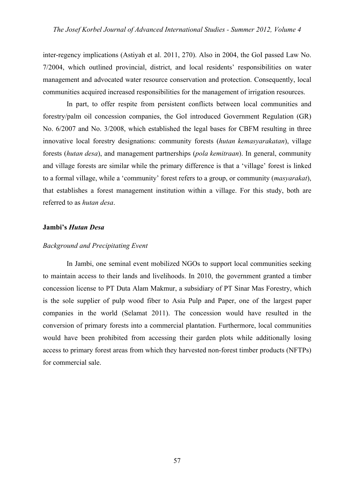inter-regency implications (Astiyah et al. 2011, 270). Also in 2004, the GoI passed Law No. 7/2004, which outlined provincial, district, and local residents' responsibilities on water management and advocated water resource conservation and protection. Consequently, local communities acquired increased responsibilities for the management of irrigation resources.

In part, to offer respite from persistent conflicts between local communities and forestry/palm oil concession companies, the GoI introduced Government Regulation (GR) No. 6/2007 and No. 3/2008, which established the legal bases for CBFM resulting in three innovative local forestry designations: community forests (*hutan kemasyarakatan*), village forests (*hutan desa*), and management partnerships (*pola kemitraan*). In general, community and village forests are similar while the primary difference is that a 'village' forest is linked to a formal village, while a 'community' forest refers to a group, or community (*masyarakat*), that establishes a forest management institution within a village. For this study, both are referred to as *hutan desa*.

#### **Jambi's** *Hutan Desa*

#### *Background and Precipitating Event*

In Jambi, one seminal event mobilized NGOs to support local communities seeking to maintain access to their lands and livelihoods. In 2010, the government granted a timber concession license to PT Duta Alam Makmur, a subsidiary of PT Sinar Mas Forestry, which is the sole supplier of pulp wood fiber to Asia Pulp and Paper, one of the largest paper companies in the world (Selamat 2011). The concession would have resulted in the conversion of primary forests into a commercial plantation. Furthermore, local communities would have been prohibited from accessing their garden plots while additionally losing access to primary forest areas from which they harvested non-forest timber products (NFTPs) for commercial sale.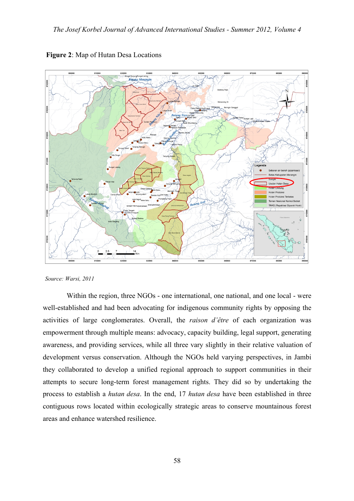

**Figure 2**: Map of Hutan Desa Locations

*Source: Warsi, 2011*

Within the region, three NGOs - one international, one national, and one local - were well-established and had been advocating for indigenous community rights by opposing the activities of large conglomerates. Overall, the *raison d'être* of each organization was empowerment through multiple means: advocacy, capacity building, legal support, generating awareness, and providing services, while all three vary slightly in their relative valuation of development versus conservation. Although the NGOs held varying perspectives, in Jambi they collaborated to develop a unified regional approach to support communities in their attempts to secure long-term forest management rights. They did so by undertaking the process to establish a *hutan desa*. In the end, 17 *hutan desa* have been established in three contiguous rows located within ecologically strategic areas to conserve mountainous forest areas and enhance watershed resilience.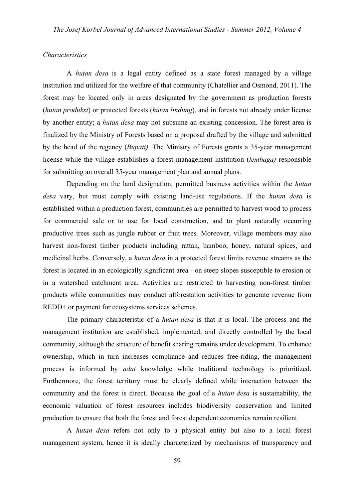#### *Characteristics*

A *hutan desa* is a legal entity defined as a state forest managed by a village institution and utilized for the welfare of that community (Chatellier and Osmond, 2011). The forest may be located only in areas designated by the government as production forests (*hutan produksi*) or protected forests (*hutan lindung*), and in forests not already under license by another entity; a *hutan desa* may not subsume an existing concession. The forest area is finalized by the Ministry of Forests based on a proposal drafted by the village and submitted by the head of the regency (*Bupati)*. The Ministry of Forests grants a 35-year management license while the village establishes a forest management institution (*lembaga)* responsible for submitting an overall 35-year management plan and annual plans.

Depending on the land designation, permitted business activities within the *hutan desa* vary, but must comply with existing land-use regulations. If the *hutan desa* is established within a production forest, communities are permitted to harvest wood to process for commercial sale or to use for local construction, and to plant naturally occurring productive trees such as jungle rubber or fruit trees. Moreover, village members may also harvest non-forest timber products including rattan, bamboo, honey, natural spices, and medicinal herbs. Conversely, a *hutan desa* in a protected forest limits revenue streams as the forest is located in an ecologically significant area - on steep slopes susceptible to erosion or in a watershed catchment area. Activities are restricted to harvesting non-forest timber products while communities may conduct afforestation activities to generate revenue from REDD+ or payment for ecosystems services schemes.

The primary characteristic of a *hutan desa* is that it is local. The process and the management institution are established, implemented, and directly controlled by the local community, although the structure of benefit sharing remains under development. To enhance ownership, which in turn increases compliance and reduces free-riding, the management process is informed by *adat* knowledge while traditional technology is prioritized. Furthermore, the forest territory must be clearly defined while interaction between the community and the forest is direct. Because the goal of a *hutan desa* is sustainability, the economic valuation of forest resources includes biodiversity conservation and limited production to ensure that both the forest and forest dependent economies remain resilient.

A *hutan desa* refers not only to a physical entity but also to a local forest management system, hence it is ideally characterized by mechanisms of transparency and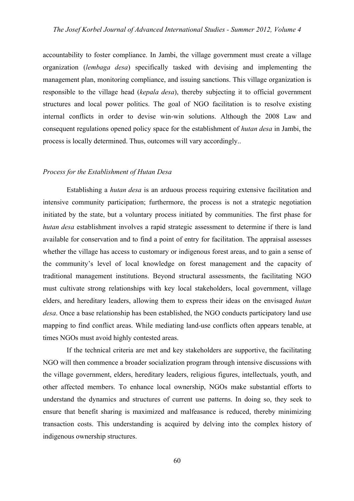accountability to foster compliance. In Jambi, the village government must create a village organization (*lembaga desa*) specifically tasked with devising and implementing the management plan, monitoring compliance, and issuing sanctions. This village organization is responsible to the village head (*kepala desa*), thereby subjecting it to official government structures and local power politics. The goal of NGO facilitation is to resolve existing internal conflicts in order to devise win-win solutions. Although the 2008 Law and consequent regulations opened policy space for the establishment of *hutan desa* in Jambi, the process is locally determined. Thus, outcomes will vary accordingly..

#### *Process for the Establishment of Hutan Desa*

Establishing a *hutan desa* is an arduous process requiring extensive facilitation and intensive community participation; furthermore, the process is not a strategic negotiation initiated by the state, but a voluntary process initiated by communities. The first phase for *hutan desa* establishment involves a rapid strategic assessment to determine if there is land available for conservation and to find a point of entry for facilitation. The appraisal assesses whether the village has access to customary or indigenous forest areas, and to gain a sense of the community's level of local knowledge on forest management and the capacity of traditional management institutions. Beyond structural assessments, the facilitating NGO must cultivate strong relationships with key local stakeholders, local government, village elders, and hereditary leaders, allowing them to express their ideas on the envisaged *hutan desa*. Once a base relationship has been established, the NGO conducts participatory land use mapping to find conflict areas. While mediating land-use conflicts often appears tenable, at times NGOs must avoid highly contested areas.

If the technical criteria are met and key stakeholders are supportive, the facilitating NGO will then commence a broader socialization program through intensive discussions with the village government, elders, hereditary leaders, religious figures, intellectuals, youth, and other affected members. To enhance local ownership, NGOs make substantial efforts to understand the dynamics and structures of current use patterns. In doing so, they seek to ensure that benefit sharing is maximized and malfeasance is reduced, thereby minimizing transaction costs. This understanding is acquired by delving into the complex history of indigenous ownership structures.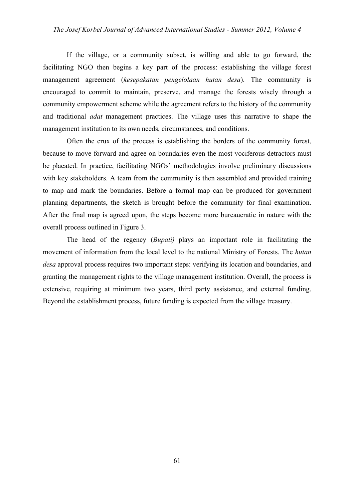If the village, or a community subset, is willing and able to go forward, the facilitating NGO then begins a key part of the process: establishing the village forest management agreement (*kesepakatan pengelolaan hutan desa*). The community is encouraged to commit to maintain, preserve, and manage the forests wisely through a community empowerment scheme while the agreement refers to the history of the community and traditional *adat* management practices. The village uses this narrative to shape the management institution to its own needs, circumstances, and conditions.

Often the crux of the process is establishing the borders of the community forest, because to move forward and agree on boundaries even the most vociferous detractors must be placated. In practice, facilitating NGOs' methodologies involve preliminary discussions with key stakeholders. A team from the community is then assembled and provided training to map and mark the boundaries. Before a formal map can be produced for government planning departments, the sketch is brought before the community for final examination. After the final map is agreed upon, the steps become more bureaucratic in nature with the overall process outlined in Figure 3.

The head of the regency (*Bupati)* plays an important role in facilitating the movement of information from the local level to the national Ministry of Forests. The *hutan desa* approval process requires two important steps: verifying its location and boundaries, and granting the management rights to the village management institution. Overall, the process is extensive, requiring at minimum two years, third party assistance, and external funding. Beyond the establishment process, future funding is expected from the village treasury.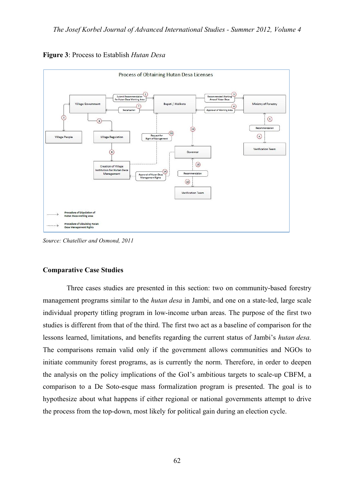

**Figure 3**: Process to Establish *Hutan Desa*

*Source: Chatellier and Osmond, 2011*

#### **Comparative Case Studies**

Three cases studies are presented in this section: two on community-based forestry management programs similar to the *hutan desa* in Jambi, and one on a state-led, large scale individual property titling program in low-income urban areas. The purpose of the first two studies is different from that of the third. The first two act as a baseline of comparison for the lessons learned, limitations, and benefits regarding the current status of Jambi's *hutan desa.* The comparisons remain valid only if the government allows communities and NGOs to initiate community forest programs, as is currently the norm. Therefore, in order to deepen the analysis on the policy implications of the GoI's ambitious targets to scale-up CBFM, a comparison to a De Soto-esque mass formalization program is presented. The goal is to hypothesize about what happens if either regional or national governments attempt to drive the process from the top-down, most likely for political gain during an election cycle.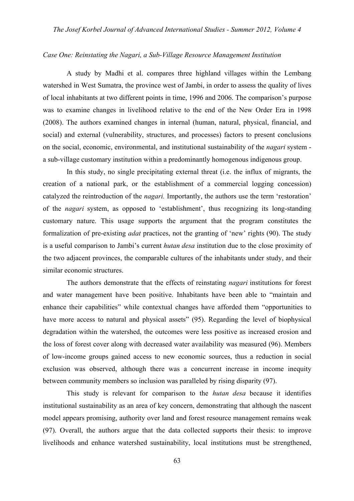#### *Case One: Reinstating the Nagari, a Sub-Village Resource Management Institution*

A study by Madhi et al. compares three highland villages within the Lembang watershed in West Sumatra, the province west of Jambi, in order to assess the quality of lives of local inhabitants at two different points in time, 1996 and 2006. The comparison's purpose was to examine changes in livelihood relative to the end of the New Order Era in 1998 (2008). The authors examined changes in internal (human, natural, physical, financial, and social) and external (vulnerability, structures, and processes) factors to present conclusions on the social, economic, environmental, and institutional sustainability of the *nagari* system a sub-village customary institution within a predominantly homogenous indigenous group.

In this study, no single precipitating external threat (i.e. the influx of migrants, the creation of a national park, or the establishment of a commercial logging concession) catalyzed the reintroduction of the *nagari.* Importantly, the authors use the term 'restoration' of the *nagari* system, as opposed to 'establishment', thus recognizing its long-standing customary nature. This usage supports the argument that the program constitutes the formalization of pre-existing *adat* practices, not the granting of 'new' rights (90). The study is a useful comparison to Jambi's current *hutan desa* institution due to the close proximity of the two adjacent provinces, the comparable cultures of the inhabitants under study, and their similar economic structures.

The authors demonstrate that the effects of reinstating *nagari* institutions for forest and water management have been positive. Inhabitants have been able to "maintain and enhance their capabilities" while contextual changes have afforded them "opportunities to have more access to natural and physical assets" (95). Regarding the level of biophysical degradation within the watershed, the outcomes were less positive as increased erosion and the loss of forest cover along with decreased water availability was measured (96). Members of low-income groups gained access to new economic sources, thus a reduction in social exclusion was observed, although there was a concurrent increase in income inequity between community members so inclusion was paralleled by rising disparity (97).

This study is relevant for comparison to the *hutan desa* because it identifies institutional sustainability as an area of key concern, demonstrating that although the nascent model appears promising, authority over land and forest resource management remains weak (97). Overall, the authors argue that the data collected supports their thesis: to improve livelihoods and enhance watershed sustainability, local institutions must be strengthened,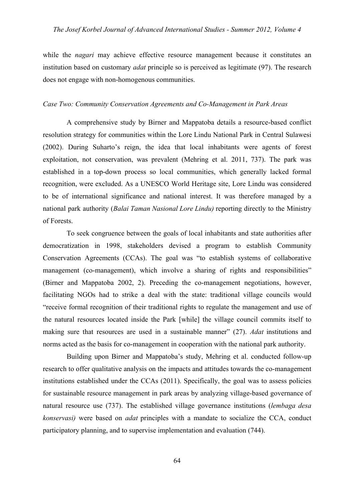while the *nagari* may achieve effective resource management because it constitutes an institution based on customary *adat* principle so is perceived as legitimate (97). The research does not engage with non-homogenous communities.

#### *Case Two: Community Conservation Agreements and Co-Management in Park Areas*

A comprehensive study by Birner and Mappatoba details a resource-based conflict resolution strategy for communities within the Lore Lindu National Park in Central Sulawesi (2002). During Suharto's reign, the idea that local inhabitants were agents of forest exploitation, not conservation, was prevalent (Mehring et al. 2011, 737). The park was established in a top-down process so local communities, which generally lacked formal recognition, were excluded. As a UNESCO World Heritage site, Lore Lindu was considered to be of international significance and national interest. It was therefore managed by a national park authority (*Balai Taman Nasional Lore Lindu)* reporting directly to the Ministry of Forests.

To seek congruence between the goals of local inhabitants and state authorities after democratization in 1998, stakeholders devised a program to establish Community Conservation Agreements (CCAs). The goal was "to establish systems of collaborative management (co-management), which involve a sharing of rights and responsibilities" (Birner and Mappatoba 2002, 2). Preceding the co-management negotiations, however, facilitating NGOs had to strike a deal with the state: traditional village councils would "receive formal recognition of their traditional rights to regulate the management and use of the natural resources located inside the Park [while] the village council commits itself to making sure that resources are used in a sustainable manner" (27). *Adat* institutions and norms acted as the basis for co-management in cooperation with the national park authority.

Building upon Birner and Mappatoba's study, Mehring et al. conducted follow-up research to offer qualitative analysis on the impacts and attitudes towards the co-management institutions established under the CCAs (2011). Specifically, the goal was to assess policies for sustainable resource management in park areas by analyzing village-based governance of natural resource use (737). The established village governance institutions (*lembaga desa konservasi)* were based on *adat* principles with a mandate to socialize the CCA, conduct participatory planning, and to supervise implementation and evaluation (744).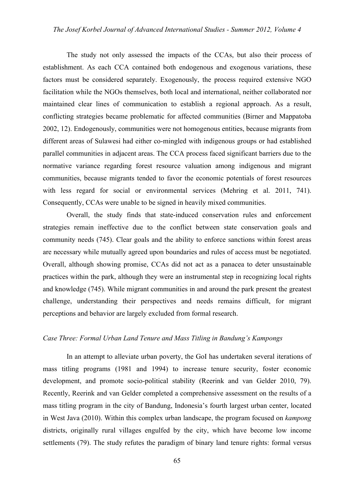The study not only assessed the impacts of the CCAs, but also their process of establishment. As each CCA contained both endogenous and exogenous variations, these factors must be considered separately. Exogenously, the process required extensive NGO facilitation while the NGOs themselves, both local and international, neither collaborated nor maintained clear lines of communication to establish a regional approach. As a result, conflicting strategies became problematic for affected communities (Birner and Mappatoba 2002, 12). Endogenously, communities were not homogenous entities, because migrants from different areas of Sulawesi had either co-mingled with indigenous groups or had established parallel communities in adjacent areas. The CCA process faced significant barriers due to the normative variance regarding forest resource valuation among indigenous and migrant communities, because migrants tended to favor the economic potentials of forest resources with less regard for social or environmental services (Mehring et al. 2011, 741). Consequently, CCAs were unable to be signed in heavily mixed communities.

Overall, the study finds that state-induced conservation rules and enforcement strategies remain ineffective due to the conflict between state conservation goals and community needs (745). Clear goals and the ability to enforce sanctions within forest areas are necessary while mutually agreed upon boundaries and rules of access must be negotiated. Overall, although showing promise, CCAs did not act as a panacea to deter unsustainable practices within the park, although they were an instrumental step in recognizing local rights and knowledge (745). While migrant communities in and around the park present the greatest challenge, understanding their perspectives and needs remains difficult, for migrant perceptions and behavior are largely excluded from formal research.

#### *Case Three: Formal Urban Land Tenure and Mass Titling in Bandung's Kampongs*

In an attempt to alleviate urban poverty, the GoI has undertaken several iterations of mass titling programs (1981 and 1994) to increase tenure security, foster economic development, and promote socio-political stability (Reerink and van Gelder 2010, 79). Recently, Reerink and van Gelder completed a comprehensive assessment on the results of a mass titling program in the city of Bandung, Indonesia's fourth largest urban center, located in West Java (2010). Within this complex urban landscape, the program focused on *kampong* districts, originally rural villages engulfed by the city, which have become low income settlements (79). The study refutes the paradigm of binary land tenure rights: formal versus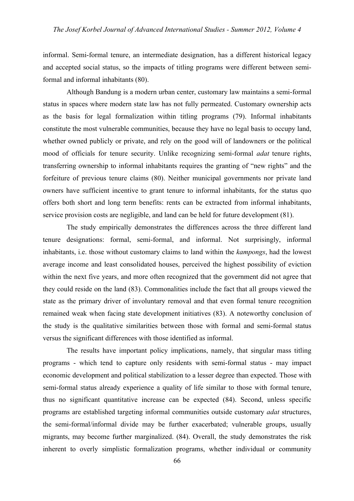informal. Semi-formal tenure, an intermediate designation, has a different historical legacy and accepted social status, so the impacts of titling programs were different between semiformal and informal inhabitants (80).

Although Bandung is a modern urban center, customary law maintains a semi-formal status in spaces where modern state law has not fully permeated. Customary ownership acts as the basis for legal formalization within titling programs (79). Informal inhabitants constitute the most vulnerable communities, because they have no legal basis to occupy land, whether owned publicly or private, and rely on the good will of landowners or the political mood of officials for tenure security. Unlike recognizing semi-formal *adat* tenure rights, transferring ownership to informal inhabitants requires the granting of "new rights" and the forfeiture of previous tenure claims (80). Neither municipal governments nor private land owners have sufficient incentive to grant tenure to informal inhabitants, for the status quo offers both short and long term benefits: rents can be extracted from informal inhabitants, service provision costs are negligible, and land can be held for future development (81).

The study empirically demonstrates the differences across the three different land tenure designations: formal, semi-formal, and informal. Not surprisingly, informal inhabitants, i.e. those without customary claims to land within the *kampongs*, had the lowest average income and least consolidated houses, perceived the highest possibility of eviction within the next five years, and more often recognized that the government did not agree that they could reside on the land (83). Commonalities include the fact that all groups viewed the state as the primary driver of involuntary removal and that even formal tenure recognition remained weak when facing state development initiatives (83). A noteworthy conclusion of the study is the qualitative similarities between those with formal and semi-formal status versus the significant differences with those identified as informal.

The results have important policy implications, namely, that singular mass titling programs - which tend to capture only residents with semi-formal status - may impact economic development and political stabilization to a lesser degree than expected. Those with semi-formal status already experience a quality of life similar to those with formal tenure, thus no significant quantitative increase can be expected (84). Second, unless specific programs are established targeting informal communities outside customary *adat* structures, the semi-formal/informal divide may be further exacerbated; vulnerable groups, usually migrants, may become further marginalized. (84). Overall, the study demonstrates the risk inherent to overly simplistic formalization programs, whether individual or community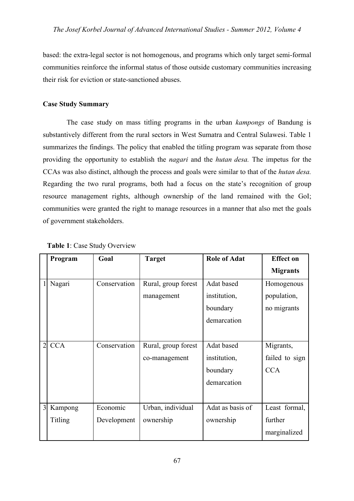based: the extra-legal sector is not homogenous, and programs which only target semi-formal communities reinforce the informal status of those outside customary communities increasing their risk for eviction or state-sanctioned abuses.

### **Case Study Summary**

The case study on mass titling programs in the urban *kampongs* of Bandung is substantively different from the rural sectors in West Sumatra and Central Sulawesi. Table 1 summarizes the findings. The policy that enabled the titling program was separate from those providing the opportunity to establish the *nagari* and the *hutan desa.* The impetus for the CCAs was also distinct, although the process and goals were similar to that of the *hutan desa.* Regarding the two rural programs, both had a focus on the state's recognition of group resource management rights, although ownership of the land remained with the GoI; communities were granted the right to manage resources in a manner that also met the goals of government stakeholders.

|                | Program        | Goal         | <b>Target</b>       | <b>Role of Adat</b> | <b>Effect on</b> |
|----------------|----------------|--------------|---------------------|---------------------|------------------|
|                |                |              |                     |                     | <b>Migrants</b>  |
|                | Nagari         | Conservation | Rural, group forest | Adat based          | Homogenous       |
|                |                |              | management          | institution,        | population,      |
|                |                |              |                     | boundary            | no migrants      |
|                |                |              |                     | demarcation         |                  |
|                |                |              |                     |                     |                  |
| $\overline{2}$ | <b>CCA</b>     | Conservation | Rural, group forest | Adat based          | Migrants,        |
|                |                |              | co-management       | institution,        | failed to sign   |
|                |                |              |                     | boundary            | <b>CCA</b>       |
|                |                |              |                     | demarcation         |                  |
|                |                |              |                     |                     |                  |
| 3              | Kampong        | Economic     | Urban, individual   | Adat as basis of    | Least formal,    |
|                | <b>Titling</b> | Development  | ownership           | ownership           | further          |
|                |                |              |                     |                     | marginalized     |

### **Table 1**: Case Study Overview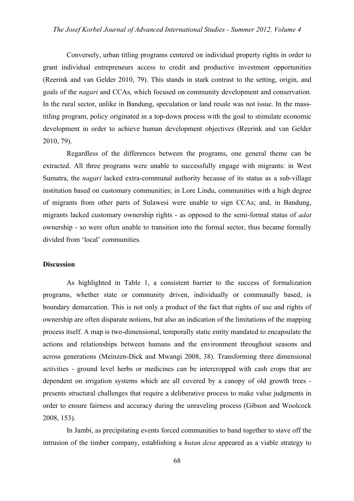Conversely, urban titling programs centered on individual property rights in order to grant individual entrepreneurs access to credit and productive investment opportunities (Reerink and van Gelder 2010, 79). This stands in stark contrast to the setting, origin, and goals of the *nagari* and CCAs, which focused on community development and conservation. In the rural sector, unlike in Bandung, speculation or land resale was not issue. In the masstitling program, policy originated in a top-down process with the goal to stimulate economic development in order to achieve human development objectives (Reerink and van Gelder 2010, 79).

Regardless of the differences between the programs, one general theme can be extracted. All three programs were unable to successfully engage with migrants: in West Sumatra, the *nagari* lacked extra-communal authority because of its status as a sub-village institution based on customary communities; in Lore Lindu, communities with a high degree of migrants from other parts of Sulawesi were unable to sign CCAs; and, in Bandung, migrants lacked customary ownership rights - as opposed to the semi-formal status of *adat* ownership - so were often unable to transition into the formal sector, thus became formally divided from 'local' communities.

#### **Discussion**

As highlighted in Table 1, a consistent barrier to the success of formalization programs, whether state or community driven, individually or communally based, is boundary demarcation. This is not only a product of the fact that rights of use and rights of ownership are often disparate notions, but also an indication of the limitations of the mapping process itself. A map is two-dimensional, temporally static entity mandated to encapsulate the actions and relationships between humans and the environment throughout seasons and across generations (Meinzen-Dick and Mwangi 2008, 38). Transforming three dimensional activities - ground level herbs or medicines can be intercropped with cash crops that are dependent on irrigation systems which are all covered by a canopy of old growth trees presents structural challenges that require a deliberative process to make value judgments in order to ensure fairness and accuracy during the unraveling process (Gibson and Woolcock 2008, 153).

In Jambi, as precipitating events forced communities to band together to stave off the intrusion of the timber company, establishing a *hutan desa* appeared as a viable strategy to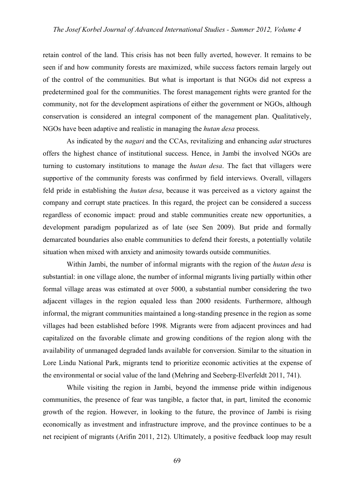retain control of the land. This crisis has not been fully averted, however. It remains to be seen if and how community forests are maximized, while success factors remain largely out of the control of the communities. But what is important is that NGOs did not express a predetermined goal for the communities. The forest management rights were granted for the community, not for the development aspirations of either the government or NGOs, although conservation is considered an integral component of the management plan. Qualitatively, NGOs have been adaptive and realistic in managing the *hutan desa* process.

As indicated by the *nagari* and the CCAs, revitalizing and enhancing *adat* structures offers the highest chance of institutional success. Hence, in Jambi the involved NGOs are turning to customary institutions to manage the *hutan desa*. The fact that villagers were supportive of the community forests was confirmed by field interviews. Overall, villagers feld pride in establishing the *hutan desa*, because it was perceived as a victory against the company and corrupt state practices. In this regard, the project can be considered a success regardless of economic impact: proud and stable communities create new opportunities, a development paradigm popularized as of late (see Sen 2009). But pride and formally demarcated boundaries also enable communities to defend their forests, a potentially volatile situation when mixed with anxiety and animosity towards outside communities.

Within Jambi, the number of informal migrants with the region of the *hutan desa* is substantial: in one village alone, the number of informal migrants living partially within other formal village areas was estimated at over 5000, a substantial number considering the two adjacent villages in the region equaled less than 2000 residents. Furthermore, although informal, the migrant communities maintained a long-standing presence in the region as some villages had been established before 1998. Migrants were from adjacent provinces and had capitalized on the favorable climate and growing conditions of the region along with the availability of unmanaged degraded lands available for conversion. Similar to the situation in Lore Lindu National Park, migrants tend to prioritize economic activities at the expense of the environmental or social value of the land (Mehring and Seeberg-Elverfeldt 2011, 741).

While visiting the region in Jambi, beyond the immense pride within indigenous communities, the presence of fear was tangible, a factor that, in part, limited the economic growth of the region. However, in looking to the future, the province of Jambi is rising economically as investment and infrastructure improve, and the province continues to be a net recipient of migrants (Arifin 2011, 212). Ultimately, a positive feedback loop may result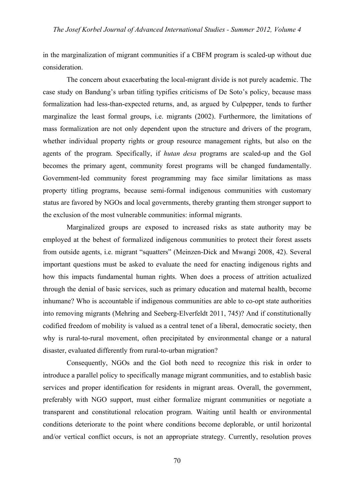in the marginalization of migrant communities if a CBFM program is scaled-up without due consideration.

The concern about exacerbating the local-migrant divide is not purely academic. The case study on Bandung's urban titling typifies criticisms of De Soto's policy, because mass formalization had less-than-expected returns, and, as argued by Culpepper, tends to further marginalize the least formal groups, i.e. migrants (2002). Furthermore, the limitations of mass formalization are not only dependent upon the structure and drivers of the program, whether individual property rights or group resource management rights, but also on the agents of the program. Specifically, if *hutan desa* programs are scaled-up and the GoI becomes the primary agent, community forest programs will be changed fundamentally. Government-led community forest programming may face similar limitations as mass property titling programs, because semi-formal indigenous communities with customary status are favored by NGOs and local governments, thereby granting them stronger support to the exclusion of the most vulnerable communities: informal migrants.

Marginalized groups are exposed to increased risks as state authority may be employed at the behest of formalized indigenous communities to protect their forest assets from outside agents, i.e. migrant "squatters" (Meinzen-Dick and Mwangi 2008, 42). Several important questions must be asked to evaluate the need for enacting indigenous rights and how this impacts fundamental human rights. When does a process of attrition actualized through the denial of basic services, such as primary education and maternal health, become inhumane? Who is accountable if indigenous communities are able to co-opt state authorities into removing migrants (Mehring and Seeberg-Elverfeldt 2011, 745)? And if constitutionally codified freedom of mobility is valued as a central tenet of a liberal, democratic society, then why is rural-to-rural movement, often precipitated by environmental change or a natural disaster, evaluated differently from rural-to-urban migration?

Consequently, NGOs and the GoI both need to recognize this risk in order to introduce a parallel policy to specifically manage migrant communities, and to establish basic services and proper identification for residents in migrant areas. Overall, the government, preferably with NGO support, must either formalize migrant communities or negotiate a transparent and constitutional relocation program. Waiting until health or environmental conditions deteriorate to the point where conditions become deplorable, or until horizontal and/or vertical conflict occurs, is not an appropriate strategy. Currently, resolution proves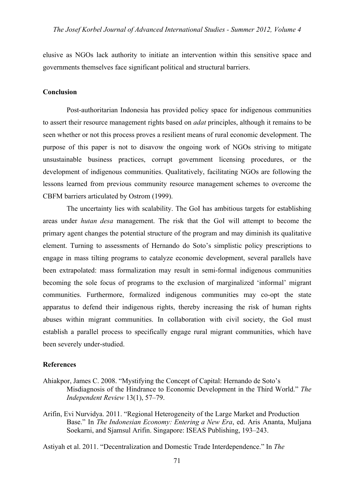elusive as NGOs lack authority to initiate an intervention within this sensitive space and governments themselves face significant political and structural barriers.

#### **Conclusion**

Post-authoritarian Indonesia has provided policy space for indigenous communities to assert their resource management rights based on *adat* principles, although it remains to be seen whether or not this process proves a resilient means of rural economic development. The purpose of this paper is not to disavow the ongoing work of NGOs striving to mitigate unsustainable business practices, corrupt government licensing procedures, or the development of indigenous communities. Qualitatively, facilitating NGOs are following the lessons learned from previous community resource management schemes to overcome the CBFM barriers articulated by Ostrom (1999).

The uncertainty lies with scalability. The GoI has ambitious targets for establishing areas under *hutan desa* management. The risk that the GoI will attempt to become the primary agent changes the potential structure of the program and may diminish its qualitative element. Turning to assessments of Hernando do Soto's simplistic policy prescriptions to engage in mass tilting programs to catalyze economic development, several parallels have been extrapolated: mass formalization may result in semi-formal indigenous communities becoming the sole focus of programs to the exclusion of marginalized 'informal' migrant communities. Furthermore, formalized indigenous communities may co-opt the state apparatus to defend their indigenous rights, thereby increasing the risk of human rights abuses within migrant communities. In collaboration with civil society, the GoI must establish a parallel process to specifically engage rural migrant communities, which have been severely under-studied.

#### **References**

- Ahiakpor, James C. 2008. "Mystifying the Concept of Capital: Hernando de Soto's Misdiagnosis of the Hindrance to Economic Development in the Third World." *The Independent Review* 13(1), 57–79.
- Arifin, Evi Nurvidya. 2011. "Regional Heterogeneity of the Large Market and Production Base." In *The Indonesian Economy: Entering a New Era*, ed. Aris Ananta, Muljana Soekarni, and Sjamsul Arifin. Singapore: ISEAS Publishing, 193–243.

Astiyah et al. 2011. "Decentralization and Domestic Trade Interdependence." In *The*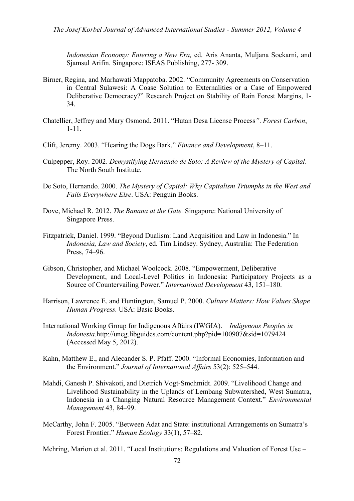*Indonesian Economy: Entering a New Era,* ed. Aris Ananta, Muljana Soekarni, and Sjamsul Arifin. Singapore: ISEAS Publishing, 277- 309.

- Birner, Regina, and Marhawati Mappatoba. 2002. "Community Agreements on Conservation in Central Sulawesi: A Coase Solution to Externalities or a Case of Empowered Deliberative Democracy?" Research Project on Stability of Rain Forest Margins, 1- 34.
- Chatellier, Jeffrey and Mary Osmond. 2011. "Hutan Desa License Process*"*. *Forest Carbon*, 1-11.
- Clift, Jeremy. 2003. "Hearing the Dogs Bark." *Finance and Development*, 8–11.
- Culpepper, Roy. 2002. *Demystifying Hernando de Soto: A Review of the Mystery of Capital*. The North South Institute.
- De Soto, Hernando. 2000. *The Mystery of Capital: Why Capitalism Triumphs in the West and Fails Everywhere Else*. USA: Penguin Books.
- Dove, Michael R. 2012. *The Banana at the Gate.* Singapore: National University of Singapore Press.
- Fitzpatrick, Daniel. 1999. "Beyond Dualism: Land Acquisition and Law in Indonesia." In *Indonesia, Law and Society*, ed. Tim Lindsey. Sydney, Australia: The Federation Press, 74–96.
- Gibson, Christopher, and Michael Woolcock. 2008. "Empowerment, Deliberative Development, and Local-Level Politics in Indonesia: Participatory Projects as a Source of Countervailing Power." *International Development* 43, 151–180.
- Harrison, Lawrence E. and Huntington, Samuel P. 2000. *Culture Matters: How Values Shape Human Progress.* USA: Basic Books.
- International Working Group for Indigenous Affairs (IWGIA). *Indigenous Peoples in Indonesia.*http://uncg.libguides.com/content.php?pid=100907&sid=1079424 (Accessed May 5, 2012).
- Kahn, Matthew E., and Alecander S. P. Pfaff. 2000. "Informal Economies, Information and the Environment." *Journal of International Affairs* 53(2): 525–544.
- Mahdi, Ganesh P. Shivakoti, and Dietrich Vogt-Smchmidt. 2009. "Livelihood Change and Livelihood Sustainability in the Uplands of Lembang Subwatershed, West Sumatra, Indonesia in a Changing Natural Resource Management Context." *Environmental Management* 43, 84–99.
- McCarthy, John F. 2005. "Between Adat and State: institutional Arrangements on Sumatra's Forest Frontier." *Human Ecology* 33(1), 57–82.

Mehring, Marion et al. 2011. "Local Institutions: Regulations and Valuation of Forest Use –